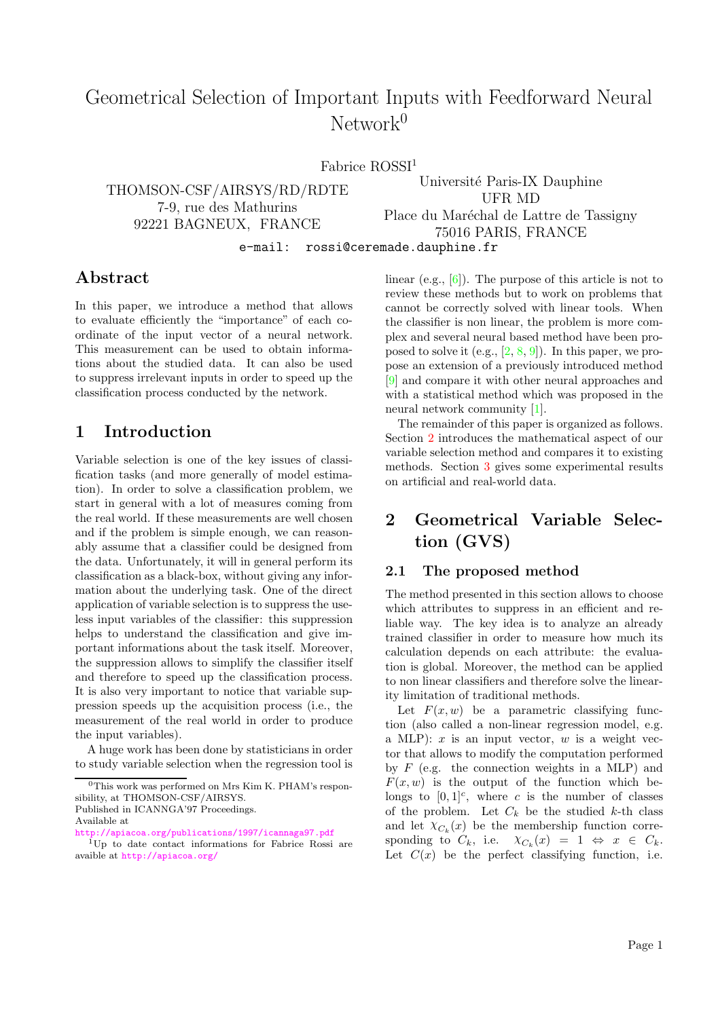# Geometrical Selection of Important Inputs with Feedforward Neural  $Network<sup>0</sup>$

Fabrice ROSSI<sup>1</sup>

THOMSON-CSF/AIRSYS/RD/RDTE 7-9, rue des Mathurins 92221 BAGNEUX, FRANCE Université Paris-IX Dauphine UFR MD Place du Maréchal de Lattre de Tassigny 75016 PARIS, FRANCE

e-mail: rossi@ceremade.dauphine.fr

### Abstract

In this paper, we introduce a method that allows to evaluate efficiently the "importance" of each coordinate of the input vector of a neural network. This measurement can be used to obtain informations about the studied data. It can also be used to suppress irrelevant inputs in order to speed up the classification process conducted by the network.

### 1 Introduction

Variable selection is one of the key issues of classification tasks (and more generally of model estimation). In order to solve a classification problem, we start in general with a lot of measures coming from the real world. If these measurements are well chosen and if the problem is simple enough, we can reasonably assume that a classifier could be designed from the data. Unfortunately, it will in general perform its classification as a black-box, without giving any information about the underlying task. One of the direct application of variable selection is to suppress the useless input variables of the classifier: this suppression helps to understand the classification and give important informations about the task itself. Moreover, the suppression allows to simplify the classifier itself and therefore to speed up the classification process. It is also very important to notice that variable suppression speeds up the acquisition process (i.e., the measurement of the real world in order to produce the input variables).

A huge work has been done by statisticians in order to study variable selection when the regression tool is

Available at

<http://apiacoa.org/publications/1997/icannaga97.pdf>

linear (e.g.,  $[6]$ ). The purpose of this article is not to review these methods but to work on problems that cannot be correctly solved with linear tools. When the classifier is non linear, the problem is more complex and several neural based method have been proposed to solve it (e.g.,  $[2, 8, 9]$  $[2, 8, 9]$  $[2, 8, 9]$  $[2, 8, 9]$  $[2, 8, 9]$ ). In this paper, we propose an extension of a previously introduced method [\[9\]](#page-3-3) and compare it with other neural approaches and with a statistical method which was proposed in the neural network community [\[1\]](#page-3-4).

The remainder of this paper is organized as follows. Section [2](#page-0-0) introduces the mathematical aspect of our variable selection method and compares it to existing methods. Section [3](#page-2-0) gives some experimental results on artificial and real-world data.

## <span id="page-0-0"></span>2 Geometrical Variable Selection (GVS)

#### 2.1 The proposed method

The method presented in this section allows to choose which attributes to suppress in an efficient and reliable way. The key idea is to analyze an already trained classifier in order to measure how much its calculation depends on each attribute: the evaluation is global. Moreover, the method can be applied to non linear classifiers and therefore solve the linearity limitation of traditional methods.

Let  $F(x, w)$  be a parametric classifying function (also called a non-linear regression model, e.g. a MLP):  $x$  is an input vector,  $w$  is a weight vector that allows to modify the computation performed by  $F$  (e.g. the connection weights in a MLP) and  $F(x, w)$  is the output of the function which belongs to  $[0,1]^c$ , where c is the number of classes of the problem. Let  $C_k$  be the studied k-th class and let  $\chi_{C_k}(x)$  be the membership function corresponding to  $C_k$ , i.e.  $\chi_{C_k}(x) = 1 \Leftrightarrow x \in C_k$ . Let  $C(x)$  be the perfect classifying function, i.e.

 $0$ This work was performed on Mrs Kim K. PHAM's responsibility, at THOMSON-CSF/AIRSYS. Published in ICANNGA'97 Proceedings.

<sup>1</sup>Up to date contact informations for Fabrice Rossi are avaible at <http://apiacoa.org/>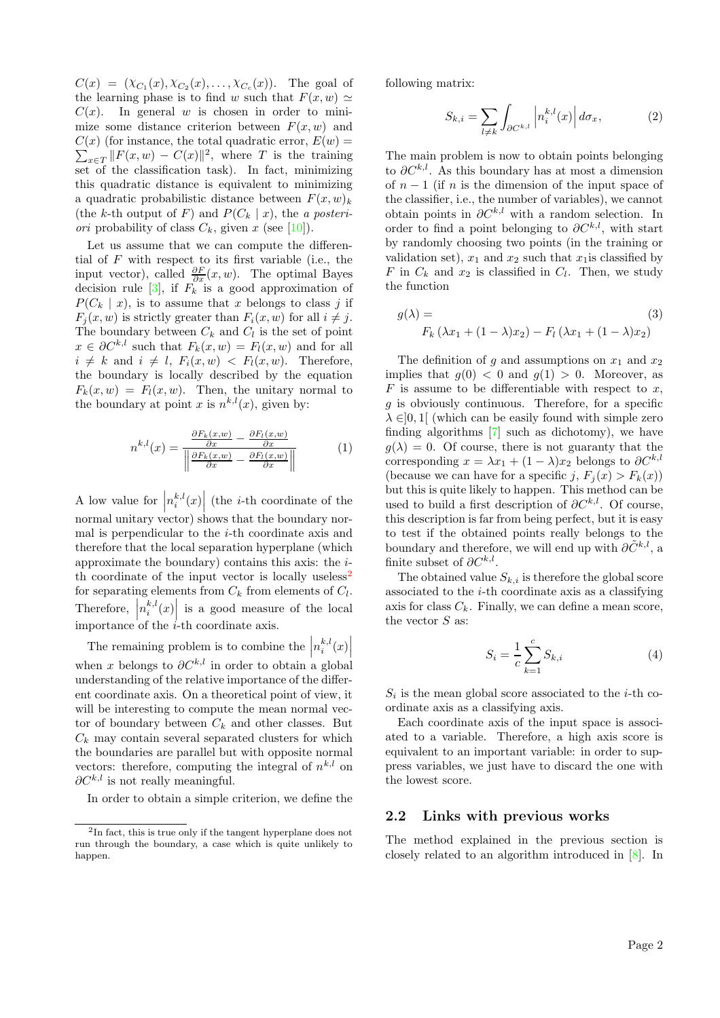$C(x) = (\chi_{C_1}(x), \chi_{C_2}(x), \ldots, \chi_{C_c}(x)).$  The goal of the learning phase is to find w such that  $F(x, w) \simeq$  $C(x)$ . In general w is chosen in order to minimize some distance criterion between  $F(x, w)$  and  $\sum_{x \in T} ||F(x, w) - C(x)||^2$ , where T is the training  $C(x)$  (for instance, the total quadratic error,  $E(w) =$ set of the classification task). In fact, minimizing this quadratic distance is equivalent to minimizing a quadratic probabilistic distance between  $F(x, w)_k$ (the k-th output of F) and  $P(C_k | x)$ , the a posteri*ori* probability of class  $C_k$ , given x (see [\[10\]](#page-3-5)).

Let us assume that we can compute the differential of  $F$  with respect to its first variable (i.e., the input vector), called  $\frac{\partial F}{\partial x}(x, w)$ . The optimal Bayes decision rule [\[3\]](#page-3-6), if  $F_k$  is a good approximation of  $P(C_k | x)$ , is to assume that x belongs to class j if  $F_i(x, w)$  is strictly greater than  $F_i(x, w)$  for all  $i \neq j$ . The boundary between  $C_k$  and  $C_l$  is the set of point  $x \in \partial C^{k,l}$  such that  $F_k(x, w) = F_l(x, w)$  and for all  $i \neq k$  and  $i \neq l$ ,  $F_i(x, w) < F_l(x, w)$ . Therefore, the boundary is locally described by the equation  $F_k(x, w) = F_l(x, w)$ . Then, the unitary normal to the boundary at point x is  $n^{k,l}(x)$ , given by:

$$
n^{k,l}(x) = \frac{\frac{\partial F_k(x, w)}{\partial x} - \frac{\partial F_l(x, w)}{\partial x}}{\left\| \frac{\partial F_k(x, w)}{\partial x} - \frac{\partial F_l(x, w)}{\partial x} \right\|} \tag{1}
$$

A low value for  $\Big|$  $n_i^{k,l}(x)$  (the *i*-th coordinate of the normal unitary vector) shows that the boundary normal is perpendicular to the  $i$ -th coordinate axis and therefore that the local separation hyperplane (which approximate the boundary) contains this axis: the i-th coordinate of the input vector is locally useless<sup>[2](#page-1-0)</sup> for separating elements from  $C_k$  from elements of  $C_l$ . Therefore,  $n_i^{k,l}(x)$  is a good measure of the local importance of the *i*-th coordinate axis.

The remaining problem is to combine the  $\left| n_i^{k,l}(x) \right|$ when x belongs to  $\partial C^{k,l}$  in order to obtain a global understanding of the relative importance of the different coordinate axis. On a theoretical point of view, it will be interesting to compute the mean normal vector of boundary between  $C_k$  and other classes. But  $C_k$  may contain several separated clusters for which the boundaries are parallel but with opposite normal vectors: therefore, computing the integral of  $n^{k,l}$  on  $\partial C^{k,l}$  is not really meaningful.

In order to obtain a simple criterion, we define the

following matrix:

$$
S_{k,i} = \sum_{l \neq k} \int_{\partial C^{k,l}} \left| n_i^{k,l}(x) \right| d\sigma_x, \tag{2}
$$

The main problem is now to obtain points belonging to  $\partial C^{k,l}$ . As this boundary has at most a dimension of  $n-1$  (if n is the dimension of the input space of the classifier, i.e., the number of variables), we cannot obtain points in  $\partial C^{k,l}$  with a random selection. In order to find a point belonging to  $\partial C^{k,l}$ , with start by randomly choosing two points (in the training or validation set),  $x_1$  and  $x_2$  such that  $x_1$  is classified by F in  $C_k$  and  $x_2$  is classified in  $C_l$ . Then, we study the function

$$
g(\lambda) = \tag{3}
$$
  

$$
F_k(\lambda x_1 + (1 - \lambda)x_2) - F_l(\lambda x_1 + (1 - \lambda)x_2)
$$

The definition of g and assumptions on  $x_1$  and  $x_2$ implies that  $g(0) < 0$  and  $g(1) > 0$ . Moreover, as  $F$  is assume to be differentiable with respect to  $x$ ,  $q$  is obviously continuous. Therefore, for a specific  $\lambda \in ]0,1[$  (which can be easily found with simple zero finding algorithms [\[7\]](#page-3-7) such as dichotomy), we have  $g(\lambda) = 0$ . Of course, there is not guaranty that the corresponding  $x = \lambda x_1 + (1 - \lambda)x_2$  belongs to  $\partial C^{k,l}$ (because we can have for a specific j,  $F_j(x) > F_k(x)$ ) but this is quite likely to happen. This method can be used to build a first description of  $\partial C^{k,l}$ . Of course, this description is far from being perfect, but it is easy to test if the obtained points really belongs to the boundary and therefore, we will end up with  $\partial \tilde{C}^{k,l}$ , a finite subset of  $\partial C^{k,l}$ .

The obtained value  $S_{k,i}$  is therefore the global score associated to the i-th coordinate axis as a classifying axis for class  $C_k$ . Finally, we can define a mean score, the vector  $S$  as:

$$
S_i = \frac{1}{c} \sum_{k=1}^{c} S_{k,i}
$$
 (4)

 $S_i$  is the mean global score associated to the *i*-th coordinate axis as a classifying axis.

Each coordinate axis of the input space is associated to a variable. Therefore, a high axis score is equivalent to an important variable: in order to suppress variables, we just have to discard the one with the lowest score.

#### 2.2 Links with previous works

The method explained in the previous section is closely related to an algorithm introduced in [\[8\]](#page-3-2). In

<span id="page-1-0"></span><sup>2</sup> In fact, this is true only if the tangent hyperplane does not run through the boundary, a case which is quite unlikely to happen.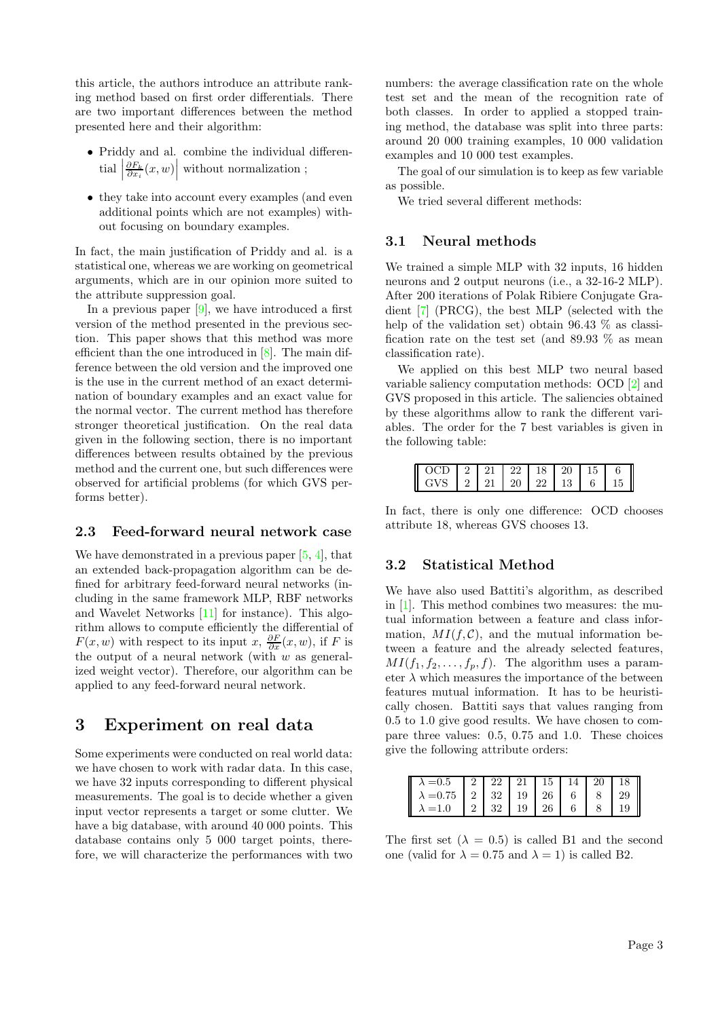this article, the authors introduce an attribute ranking method based on first order differentials. There are two important differences between the method presented here and their algorithm:

- Priddy and al. combine the individual differen- $\text{trial}$  $\left. \frac{\partial F_k}{\partial x_i}(x,w) \right|$  without normalization ;
- they take into account every examples (and even additional points which are not examples) without focusing on boundary examples.

In fact, the main justification of Priddy and al. is a statistical one, whereas we are working on geometrical arguments, which are in our opinion more suited to the attribute suppression goal.

In a previous paper  $[9]$ , we have introduced a first version of the method presented in the previous section. This paper shows that this method was more efficient than the one introduced in [\[8\]](#page-3-2). The main difference between the old version and the improved one is the use in the current method of an exact determination of boundary examples and an exact value for the normal vector. The current method has therefore stronger theoretical justification. On the real data given in the following section, there is no important differences between results obtained by the previous method and the current one, but such differences were observed for artificial problems (for which GVS performs better).

#### 2.3 Feed-forward neural network case

We have demonstrated in a previous paper [\[5,](#page-3-8) [4\]](#page-3-9), that an extended back-propagation algorithm can be defined for arbitrary feed-forward neural networks (including in the same framework MLP, RBF networks and Wavelet Networks [\[11\]](#page-3-10) for instance). This algorithm allows to compute efficiently the differential of  $F(x, w)$  with respect to its input x,  $\frac{\partial F}{\partial x}(x, w)$ , if F is the output of a neural network (with  $w$  as generalized weight vector). Therefore, our algorithm can be applied to any feed-forward neural network.

### <span id="page-2-0"></span>3 Experiment on real data

Some experiments were conducted on real world data: we have chosen to work with radar data. In this case, we have 32 inputs corresponding to different physical measurements. The goal is to decide whether a given input vector represents a target or some clutter. We have a big database, with around 40 000 points. This database contains only 5 000 target points, therefore, we will characterize the performances with two numbers: the average classification rate on the whole test set and the mean of the recognition rate of both classes. In order to applied a stopped training method, the database was split into three parts: around 20 000 training examples, 10 000 validation examples and 10 000 test examples.

The goal of our simulation is to keep as few variable as possible.

We tried several different methods:

#### 3.1 Neural methods

We trained a simple MLP with 32 inputs, 16 hidden neurons and 2 output neurons (i.e., a 32-16-2 MLP). After 200 iterations of Polak Ribiere Conjugate Gradient [\[7\]](#page-3-7) (PRCG), the best MLP (selected with the help of the validation set) obtain 96.43  $\%$  as classification rate on the test set (and 89.93 % as mean classification rate).

We applied on this best MLP two neural based variable saliency computation methods: OCD [\[2\]](#page-3-1) and GVS proposed in this article. The saliencies obtained by these algorithms allow to rank the different variables. The order for the 7 best variables is given in the following table:

|            | -21        | $\sqrt{22}$ | 18 | -20               | 15  |    |
|------------|------------|-------------|----|-------------------|-----|----|
| <b>GVS</b> | $21 \t 20$ |             |    | $22 \mid 13 \mid$ | 6 I | 15 |

In fact, there is only one difference: OCD chooses attribute 18, whereas GVS chooses 13.

### 3.2 Statistical Method

We have also used Battiti's algorithm, as described in [\[1\]](#page-3-4). This method combines two measures: the mutual information between a feature and class information,  $MI(f, \mathcal{C})$ , and the mutual information between a feature and the already selected features,  $MI(f_1, f_2, \ldots, f_p, f)$ . The algorithm uses a parameter  $\lambda$  which measures the importance of the between features mutual information. It has to be heuristically chosen. Battiti says that values ranging from 0.5 to 1.0 give good results. We have chosen to compare three values: 0.5, 0.75 and 1.0. These choices give the following attribute orders:

| $\begin{array}{ c c c c c c c c } \hline \lambda=0.5 & 2 & 22 & 21 & 15 & 14 & 20 & 18 \\ \hline \lambda=0.75 & 2 & 32 & 19 & 26 & 6 & 8 & 29 \\ \hline \lambda=1.0 & 2 & 32 & 19 & 26 & 6 & 8 & 19 \\\hline \end{array}$ |  |  |  |  |
|---------------------------------------------------------------------------------------------------------------------------------------------------------------------------------------------------------------------------|--|--|--|--|
|                                                                                                                                                                                                                           |  |  |  |  |
|                                                                                                                                                                                                                           |  |  |  |  |

The first set  $(\lambda = 0.5)$  is called B1 and the second one (valid for  $\lambda = 0.75$  and  $\lambda = 1$ ) is called B2.